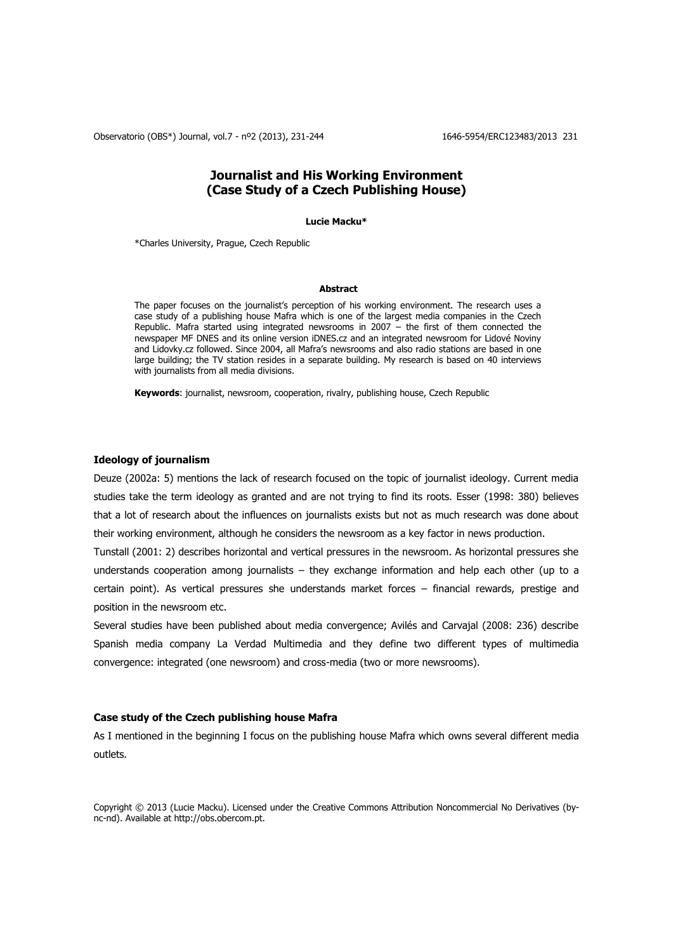Observatorio (OBS\*) Journal, vol.7 - nº2 (2013), 231-244 1646-1954 1646-5954/ERC123483/2013 231

# **Journalist and His Working Environment (Case Study of a Czech Publishing House)**

#### **Lucie Macku\***

\*Charles University, Prague, Czech Republic

### **Abstract**

The paper focuses on the journalist's perception of his working environment. The research uses a case study of a publishing house Mafra which is one of the largest media companies in the Czech Republic. Mafra started using integrated newsrooms in 2007 – the first of them connected the newspaper MF DNES and its online version iDNES.cz and an integrated newsroom for Lidové Noviny and Lidovky.cz followed. Since 2004, all Mafra's newsrooms and also radio stations are based in one large building; the TV station resides in a separate building. My research is based on 40 interviews with journalists from all media divisions.

**Keywords**: journalist, newsroom, cooperation, rivalry, publishing house, Czech Republic

### **Ideology of journalism**

Deuze (2002a: 5) mentions the lack of research focused on the topic of journalist ideology. Current media studies take the term ideology as granted and are not trying to find its roots. Esser (1998: 380) believes that a lot of research about the influences on journalists exists but not as much research was done about their working environment, although he considers the newsroom as a key factor in news production.

Tunstall (2001: 2) describes horizontal and vertical pressures in the newsroom. As horizontal pressures she understands cooperation among journalists – they exchange information and help each other (up to a certain point). As vertical pressures she understands market forces – financial rewards, prestige and position in the newsroom etc.

Several studies have been published about media convergence; Avilés and Carvajal (2008: 236) describe Spanish media company La Verdad Multimedia and they define two different types of multimedia convergence: integrated (one newsroom) and cross-media (two or more newsrooms).

# **Case study of the Czech publishing house Mafra**

As I mentioned in the beginning I focus on the publishing house Mafra which owns several different media outlets.

Copyright © 2013 (Lucie Macku). Licensed under the Creative Commons Attribution Noncommercial No Derivatives (bync-nd). Available at http://obs.obercom.pt.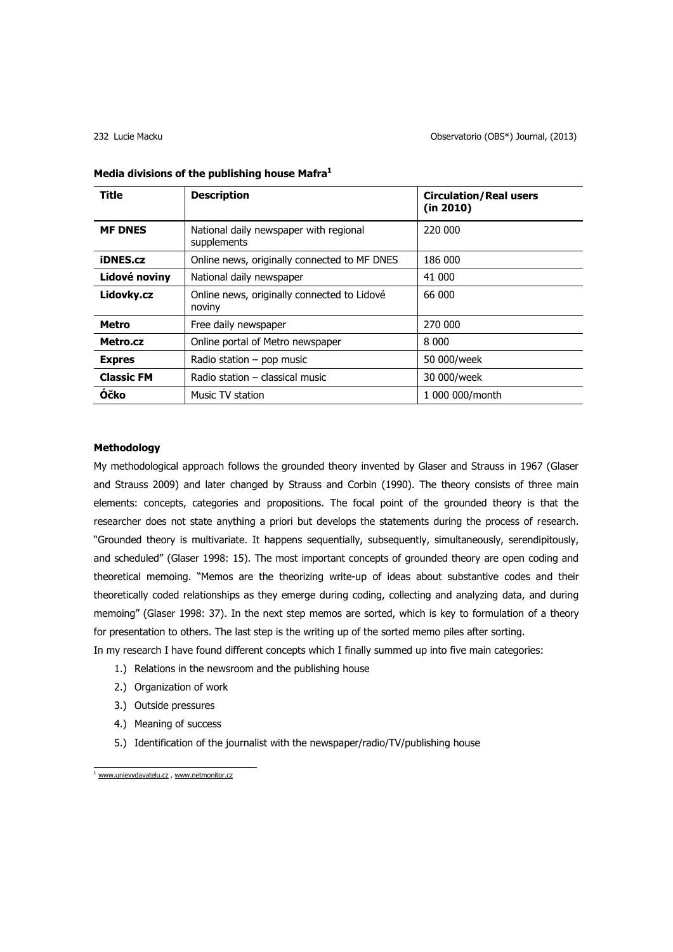| <b>Title</b>      | <b>Description</b>                                    | <b>Circulation/Real users</b><br>(in 2010) |
|-------------------|-------------------------------------------------------|--------------------------------------------|
| <b>MF DNES</b>    | National daily newspaper with regional<br>supplements | 220 000                                    |
| <b>iDNES.cz</b>   | Online news, originally connected to MF DNES          | 186 000                                    |
| Lidové noviny     | National daily newspaper                              | 41 000                                     |
| Lidovky.cz        | Online news, originally connected to Lidové<br>noviny | 66 000                                     |
| <b>Metro</b>      | Free daily newspaper                                  | 270 000                                    |
| Metro.cz          | Online portal of Metro newspaper                      | 8 0 0 0                                    |
| <b>Expres</b>     | Radio station $-$ pop music                           | 50 000/week                                |
| <b>Classic FM</b> | Radio station – classical music                       | 30 000/week                                |
| Óčko              | Music TV station                                      | 1 000 000/month                            |

## **Media divisions of the publishing house Mafra<sup>1</sup>**

# **Methodology**

My methodological approach follows the grounded theory invented by Glaser and Strauss in 1967 (Glaser and Strauss 2009) and later changed by Strauss and Corbin (1990). The theory consists of three main elements: concepts, categories and propositions. The focal point of the grounded theory is that the researcher does not state anything a priori but develops the statements during the process of research. "Grounded theory is multivariate. It happens sequentially, subsequently, simultaneously, serendipitously, and scheduled" (Glaser 1998: 15). The most important concepts of grounded theory are open coding and theoretical memoing. "Memos are the theorizing write-up of ideas about substantive codes and their theoretically coded relationships as they emerge during coding, collecting and analyzing data, and during memoing" (Glaser 1998: 37). In the next step memos are sorted, which is key to formulation of a theory for presentation to others. The last step is the writing up of the sorted memo piles after sorting.

In my research I have found different concepts which I finally summed up into five main categories:

- 1.) Relations in the newsroom and the publishing house
- 2.) Organization of work
- 3.) Outside pressures
- 4.) Meaning of success
- 5.) Identification of the journalist with the newspaper/radio/TV/publishing house

 $1$  [www.unievydavatelu.cz](http://www.unievydavatelu.cz/)[, www.netmonitor.cz](http://www.netmonitor.cz/)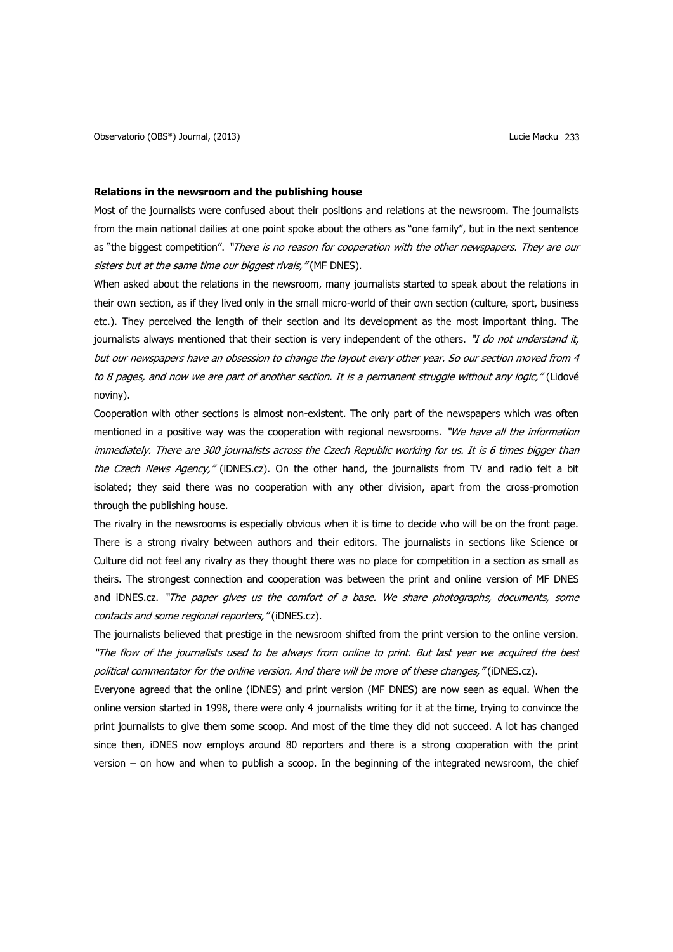#### **Relations in the newsroom and the publishing house**

Most of the journalists were confused about their positions and relations at the newsroom. The journalists from the main national dailies at one point spoke about the others as "one family", but in the next sentence as "the biggest competition". "There is no reason for cooperation with the other newspapers. They are our sisters but at the same time our biggest rivals," (MF DNES).

When asked about the relations in the newsroom, many journalists started to speak about the relations in their own section, as if they lived only in the small micro-world of their own section (culture, sport, business etc.). They perceived the length of their section and its development as the most important thing. The journalists always mentioned that their section is very independent of the others. "I do not understand it, but our newspapers have an obsession to change the layout every other year. So our section moved from 4 to 8 pages, and now we are part of another section. It is a permanent struggle without any logic," (Lidové noviny).

Cooperation with other sections is almost non-existent. The only part of the newspapers which was often mentioned in a positive way was the cooperation with regional newsrooms. "We have all the information immediately. There are 300 journalists across the Czech Republic working for us. It is 6 times bigger than the Czech News Agency," (iDNES.cz). On the other hand, the journalists from TV and radio felt a bit isolated; they said there was no cooperation with any other division, apart from the cross-promotion through the publishing house.

The rivalry in the newsrooms is especially obvious when it is time to decide who will be on the front page. There is a strong rivalry between authors and their editors. The journalists in sections like Science or Culture did not feel any rivalry as they thought there was no place for competition in a section as small as theirs. The strongest connection and cooperation was between the print and online version of MF DNES and iDNES.cz. "The paper gives us the comfort of a base. We share photographs, documents, some contacts and some regional reporters," (iDNES.cz).

The journalists believed that prestige in the newsroom shifted from the print version to the online version. "The flow of the journalists used to be always from online to print. But last year we acquired the best political commentator for the online version. And there will be more of these changes," (iDNES.cz).

Everyone agreed that the online (iDNES) and print version (MF DNES) are now seen as equal. When the online version started in 1998, there were only 4 journalists writing for it at the time, trying to convince the print journalists to give them some scoop. And most of the time they did not succeed. A lot has changed since then, iDNES now employs around 80 reporters and there is a strong cooperation with the print version – on how and when to publish a scoop. In the beginning of the integrated newsroom, the chief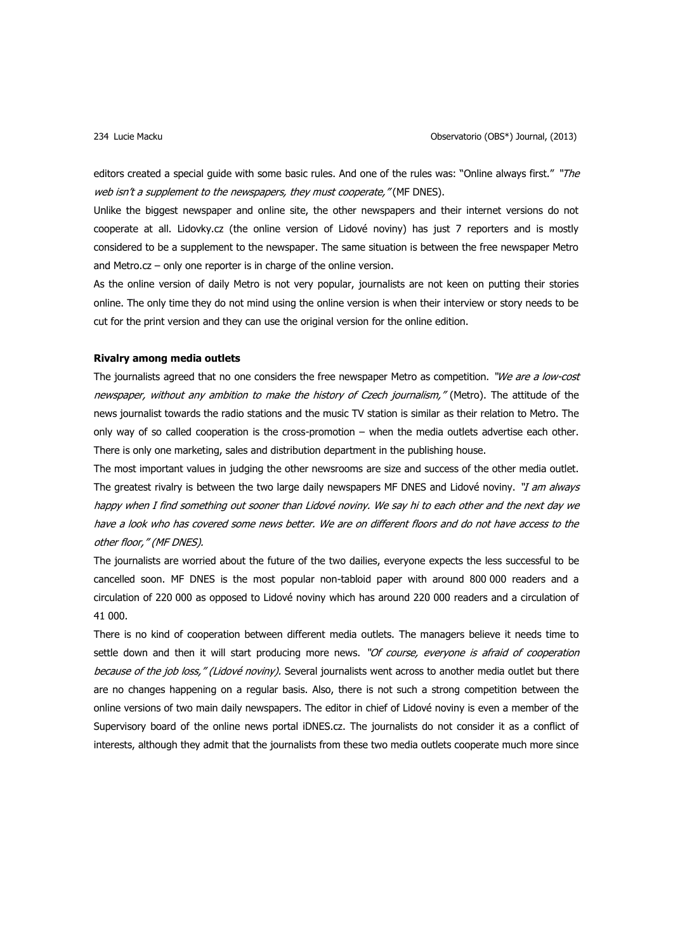editors created a special quide with some basic rules. And one of the rules was: "Online always first." "The web isn't a supplement to the newspapers, they must cooperate," (MF DNES).

Unlike the biggest newspaper and online site, the other newspapers and their internet versions do not cooperate at all. Lidovky.cz (the online version of Lidové noviny) has just 7 reporters and is mostly considered to be a supplement to the newspaper. The same situation is between the free newspaper Metro and Metro.cz – only one reporter is in charge of the online version.

As the online version of daily Metro is not very popular, journalists are not keen on putting their stories online. The only time they do not mind using the online version is when their interview or story needs to be cut for the print version and they can use the original version for the online edition.

### **Rivalry among media outlets**

The journalists agreed that no one considers the free newspaper Metro as competition. "We are a low-cost newspaper, without any ambition to make the history of Czech journalism," (Metro). The attitude of the news journalist towards the radio stations and the music TV station is similar as their relation to Metro. The only way of so called cooperation is the cross-promotion – when the media outlets advertise each other. There is only one marketing, sales and distribution department in the publishing house.

The most important values in judging the other newsrooms are size and success of the other media outlet. The greatest rivalry is between the two large daily newspapers MF DNES and Lidové noviny. "I am always happy when I find something out sooner than Lidové noviny. We say hi to each other and the next day we have a look who has covered some news better. We are on different floors and do not have access to the other floor," (MF DNES).

The journalists are worried about the future of the two dailies, everyone expects the less successful to be cancelled soon. MF DNES is the most popular non-tabloid paper with around 800 000 readers and a circulation of 220 000 as opposed to Lidové noviny which has around 220 000 readers and a circulation of 41 000.

There is no kind of cooperation between different media outlets. The managers believe it needs time to settle down and then it will start producing more news. "Of course, everyone is afraid of cooperation because of the job loss," (Lidové noviny). Several journalists went across to another media outlet but there are no changes happening on a regular basis. Also, there is not such a strong competition between the online versions of two main daily newspapers. The editor in chief of Lidové noviny is even a member of the Supervisory board of the online news portal iDNES.cz. The journalists do not consider it as a conflict of interests, although they admit that the journalists from these two media outlets cooperate much more since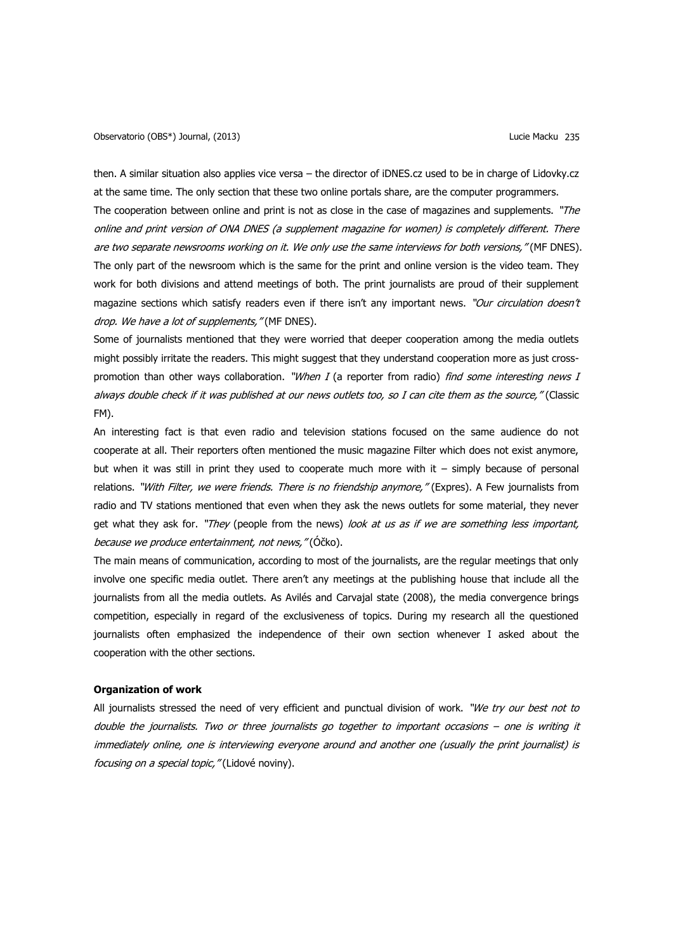then. A similar situation also applies vice versa – the director of iDNES.cz used to be in charge of Lidovky.cz at the same time. The only section that these two online portals share, are the computer programmers.

The cooperation between online and print is not as close in the case of magazines and supplements. "The online and print version of ONA DNES (a supplement magazine for women) is completely different. There are two separate newsrooms working on it. We only use the same interviews for both versions." (MF DNES). The only part of the newsroom which is the same for the print and online version is the video team. They work for both divisions and attend meetings of both. The print journalists are proud of their supplement magazine sections which satisfy readers even if there isn't any important news. "Our circulation doesn't drop. We have a lot of supplements," (MF DNES).

Some of journalists mentioned that they were worried that deeper cooperation among the media outlets might possibly irritate the readers. This might suggest that they understand cooperation more as just crosspromotion than other ways collaboration. "When  $I$  (a reporter from radio) find some interesting news  $I$ always double check if it was published at our news outlets too, so I can cite them as the source," (Classic FM).

An interesting fact is that even radio and television stations focused on the same audience do not cooperate at all. Their reporters often mentioned the music magazine Filter which does not exist anymore, but when it was still in print they used to cooperate much more with it – simply because of personal relations. "With Filter, we were friends. There is no friendship anymore," (Expres). A Few journalists from radio and TV stations mentioned that even when they ask the news outlets for some material, they never get what they ask for. "They (people from the news) look at us as if we are something less important, because we produce entertainment, not news," (Óčko).

The main means of communication, according to most of the journalists, are the regular meetings that only involve one specific media outlet. There aren't any meetings at the publishing house that include all the journalists from all the media outlets. As Avilés and Carvajal state (2008), the media convergence brings competition, especially in regard of the exclusiveness of topics. During my research all the questioned journalists often emphasized the independence of their own section whenever I asked about the cooperation with the other sections.

#### **Organization of work**

All journalists stressed the need of very efficient and punctual division of work. "We try our best not to double the journalists. Two or three journalists go together to important occasions – one is writing it immediately online, one is interviewing everyone around and another one (usually the print journalist) is focusing on a special topic, "(Lidové noviny).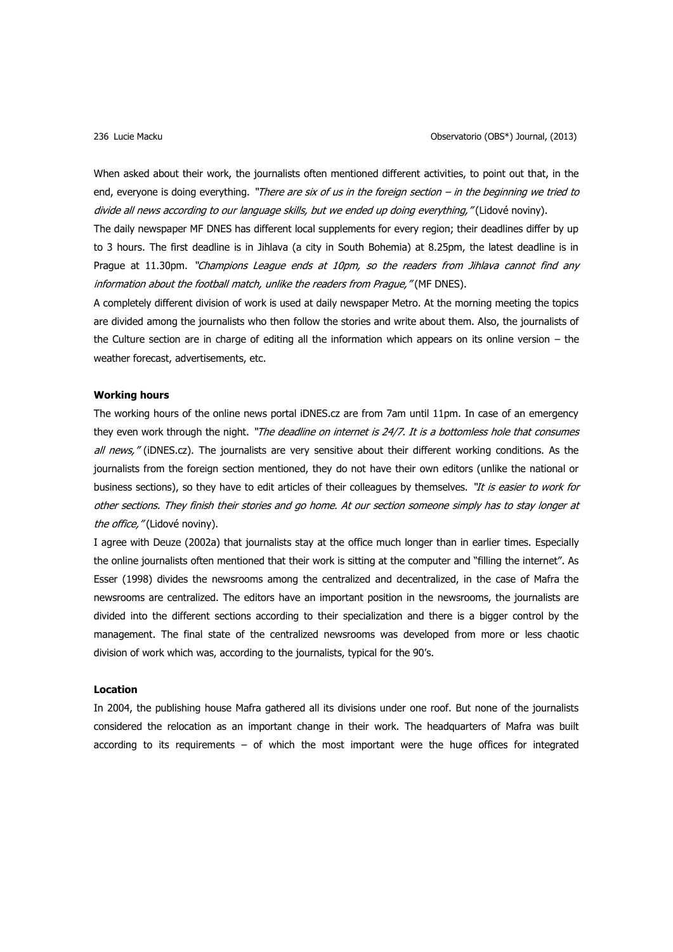When asked about their work, the journalists often mentioned different activities, to point out that, in the end, everyone is doing everything. "There are six of us in the foreign section – in the beginning we tried to divide all news according to our language skills, but we ended up doing everything," (Lidové noviny).

The daily newspaper MF DNES has different local supplements for every region; their deadlines differ by up to 3 hours. The first deadline is in Jihlava (a city in South Bohemia) at 8.25pm, the latest deadline is in Prague at 11.30pm. "Champions League ends at 10pm, so the readers from Jihlava cannot find any information about the football match, unlike the readers from Prague," (MF DNES).

A completely different division of work is used at daily newspaper Metro. At the morning meeting the topics are divided among the journalists who then follow the stories and write about them. Also, the journalists of the Culture section are in charge of editing all the information which appears on its online version – the weather forecast, advertisements, etc.

#### **Working hours**

The working hours of the online news portal iDNES.cz are from 7am until 11pm. In case of an emergency they even work through the night. "The deadline on internet is 24/7. It is a bottomless hole that consumes all news," (iDNES.cz). The journalists are very sensitive about their different working conditions. As the journalists from the foreign section mentioned, they do not have their own editors (unlike the national or business sections), so they have to edit articles of their colleagues by themselves. "It is easier to work for other sections. They finish their stories and go home. At our section someone simply has to stay longer at the office, "(Lidové noviny).

I agree with Deuze (2002a) that journalists stay at the office much longer than in earlier times. Especially the online journalists often mentioned that their work is sitting at the computer and "filling the internet". As Esser (1998) divides the newsrooms among the centralized and decentralized, in the case of Mafra the newsrooms are centralized. The editors have an important position in the newsrooms, the journalists are divided into the different sections according to their specialization and there is a bigger control by the management. The final state of the centralized newsrooms was developed from more or less chaotic division of work which was, according to the journalists, typical for the 90's.

# **Location**

In 2004, the publishing house Mafra gathered all its divisions under one roof. But none of the journalists considered the relocation as an important change in their work. The headquarters of Mafra was built according to its requirements  $-$  of which the most important were the huge offices for integrated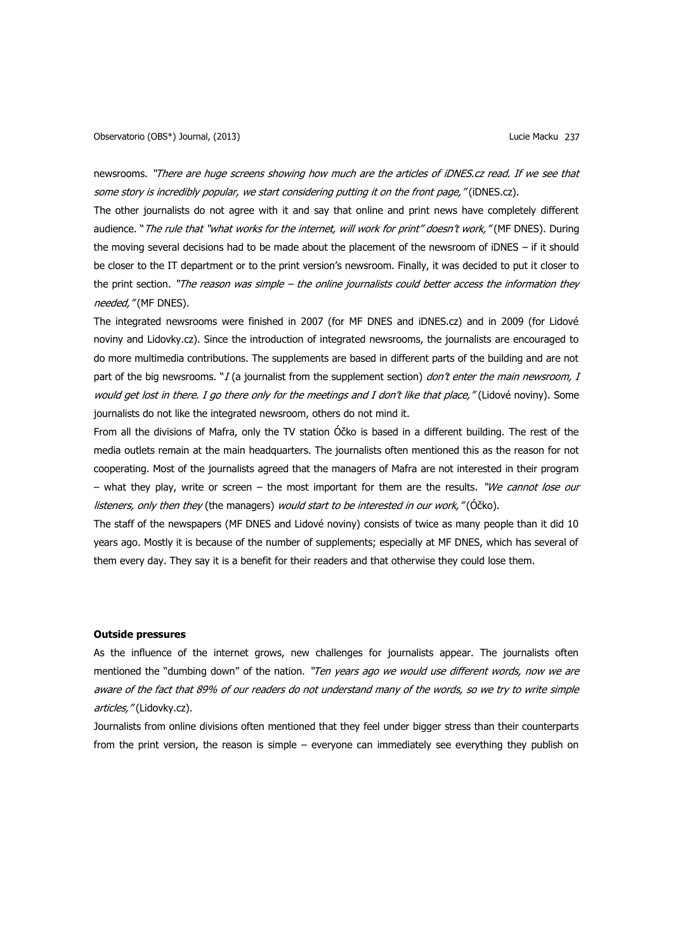newsrooms. "There are huge screens showing how much are the articles of iDNES.cz read. If we see that some story is incredibly popular, we start considering putting it on the front page," (iDNES.cz).

The other journalists do not agree with it and say that online and print news have completely different audience. "The rule that "what works for the internet, will work for print" doesn't work," (MF DNES). During the moving several decisions had to be made about the placement of the newsroom of iDNES – if it should be closer to the IT department or to the print version's newsroom. Finally, it was decided to put it closer to the print section. "The reason was simple – the online journalists could better access the information they needed," (MF DNES).

The integrated newsrooms were finished in 2007 (for MF DNES and iDNES.cz) and in 2009 (for Lidové noviny and Lidovky.cz). Since the introduction of integrated newsrooms, the journalists are encouraged to do more multimedia contributions. The supplements are based in different parts of the building and are not part of the big newsrooms. "I (a journalist from the supplement section) don't enter the main newsroom, I would get lost in there. I go there only for the meetings and I don't like that place," (Lidové noviny). Some journalists do not like the integrated newsroom, others do not mind it.

From all the divisions of Mafra, only the TV station Óčko is based in a different building. The rest of the media outlets remain at the main headquarters. The journalists often mentioned this as the reason for not cooperating. Most of the journalists agreed that the managers of Mafra are not interested in their program – what they play, write or screen – the most important for them are the results. "We cannot lose our listeners, only then they (the managers) would start to be interested in our work,"(Óčko).

The staff of the newspapers (MF DNES and Lidové noviny) consists of twice as many people than it did 10 years ago. Mostly it is because of the number of supplements; especially at MF DNES, which has several of them every day. They say it is a benefit for their readers and that otherwise they could lose them.

#### **Outside pressures**

As the influence of the internet grows, new challenges for journalists appear. The journalists often mentioned the "dumbing down" of the nation. "Ten years ago we would use different words, now we are aware of the fact that 89% of our readers do not understand many of the words, so we try to write simple articles," (Lidovky.cz).

Journalists from online divisions often mentioned that they feel under bigger stress than their counterparts from the print version, the reason is simple – everyone can immediately see everything they publish on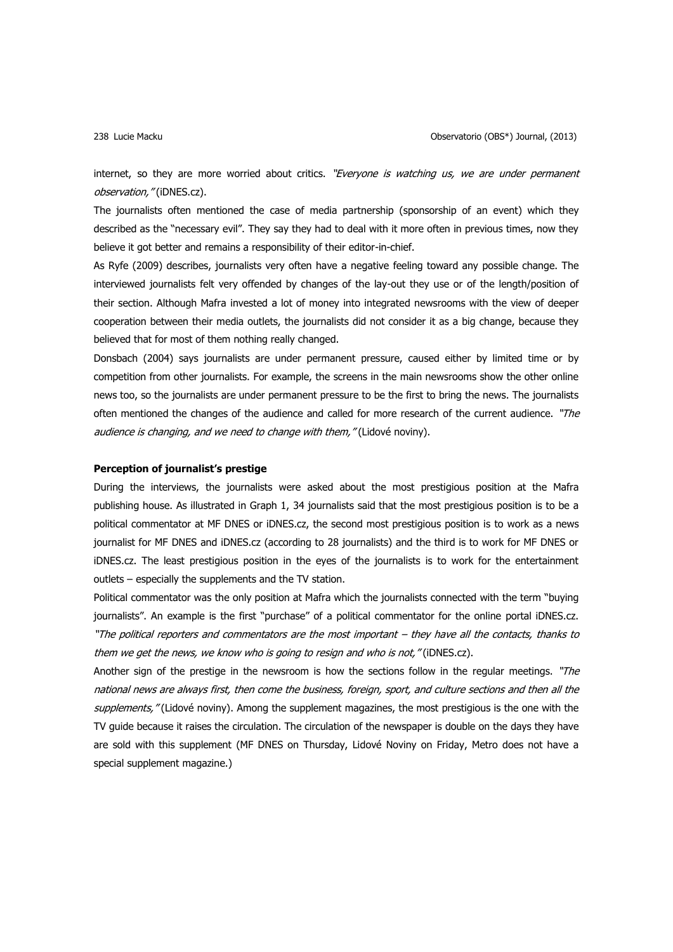internet, so they are more worried about critics. "Everyone is watching us, we are under permanent observation," (iDNES.cz).

The journalists often mentioned the case of media partnership (sponsorship of an event) which they described as the "necessary evil". They say they had to deal with it more often in previous times, now they believe it got better and remains a responsibility of their editor-in-chief.

As Ryfe (2009) describes, journalists very often have a negative feeling toward any possible change. The interviewed journalists felt very offended by changes of the lay-out they use or of the length/position of their section. Although Mafra invested a lot of money into integrated newsrooms with the view of deeper cooperation between their media outlets, the journalists did not consider it as a big change, because they believed that for most of them nothing really changed.

Donsbach (2004) says journalists are under permanent pressure, caused either by limited time or by competition from other journalists. For example, the screens in the main newsrooms show the other online news too, so the journalists are under permanent pressure to be the first to bring the news. The journalists often mentioned the changes of the audience and called for more research of the current audience. "The audience is changing, and we need to change with them," (Lidové noviny).

### **Perception of journalist's prestige**

During the interviews, the journalists were asked about the most prestigious position at the Mafra publishing house. As illustrated in Graph 1, 34 journalists said that the most prestigious position is to be a political commentator at MF DNES or iDNES.cz, the second most prestigious position is to work as a news journalist for MF DNES and iDNES.cz (according to 28 journalists) and the third is to work for MF DNES or iDNES.cz. The least prestigious position in the eyes of the journalists is to work for the entertainment outlets – especially the supplements and the TV station.

Political commentator was the only position at Mafra which the journalists connected with the term "buying journalists". An example is the first "purchase" of a political commentator for the online portal iDNES.cz. "The political reporters and commentators are the most important – they have all the contacts, thanks to them we get the news, we know who is going to resign and who is not," (iDNES.cz).

Another sign of the prestige in the newsroom is how the sections follow in the regular meetings. "The national news are always first, then come the business, foreign, sport, and culture sections and then all the supplements," (Lidové noviny). Among the supplement magazines, the most prestigious is the one with the TV guide because it raises the circulation. The circulation of the newspaper is double on the days they have are sold with this supplement (MF DNES on Thursday, Lidové Noviny on Friday, Metro does not have a special supplement magazine.)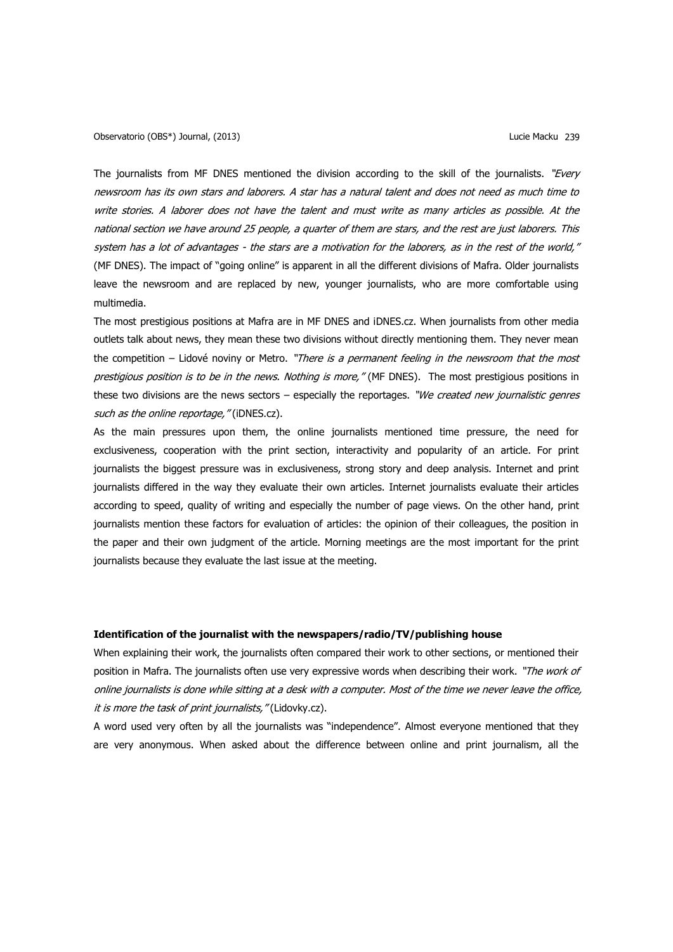The journalists from MF DNES mentioned the division according to the skill of the journalists. "*Every* newsroom has its own stars and laborers. A star has a natural talent and does not need as much time to write stories. A laborer does not have the talent and must write as many articles as possible. At the national section we have around 25 people, a quarter of them are stars, and the rest are just laborers. This system has a lot of advantages - the stars are a motivation for the laborers, as in the rest of the world," (MF DNES). The impact of "going online" is apparent in all the different divisions of Mafra. Older journalists leave the newsroom and are replaced by new, younger journalists, who are more comfortable using multimedia.

The most prestigious positions at Mafra are in MF DNES and iDNES.cz. When journalists from other media outlets talk about news, they mean these two divisions without directly mentioning them. They never mean the competition – Lidové noviny or Metro. "There is a permanent feeling in the newsroom that the most prestigious position is to be in the news. Nothing is more," (MF DNES). The most prestigious positions in these two divisions are the news sectors - especially the reportages. "We created new journalistic genres such as the online reportage," (iDNES.cz).

As the main pressures upon them, the online journalists mentioned time pressure, the need for exclusiveness, cooperation with the print section, interactivity and popularity of an article. For print journalists the biggest pressure was in exclusiveness, strong story and deep analysis. Internet and print journalists differed in the way they evaluate their own articles. Internet journalists evaluate their articles according to speed, quality of writing and especially the number of page views. On the other hand, print journalists mention these factors for evaluation of articles: the opinion of their colleagues, the position in the paper and their own judgment of the article. Morning meetings are the most important for the print journalists because they evaluate the last issue at the meeting.

# **Identification of the journalist with the newspapers/radio/TV/publishing house**

When explaining their work, the journalists often compared their work to other sections, or mentioned their position in Mafra. The journalists often use very expressive words when describing their work. "The work of online journalists is done while sitting at a desk with a computer. Most of the time we never leave the office, it is more the task of print journalists, "(Lidovky.cz).

A word used very often by all the journalists was "independence". Almost everyone mentioned that they are very anonymous. When asked about the difference between online and print journalism, all the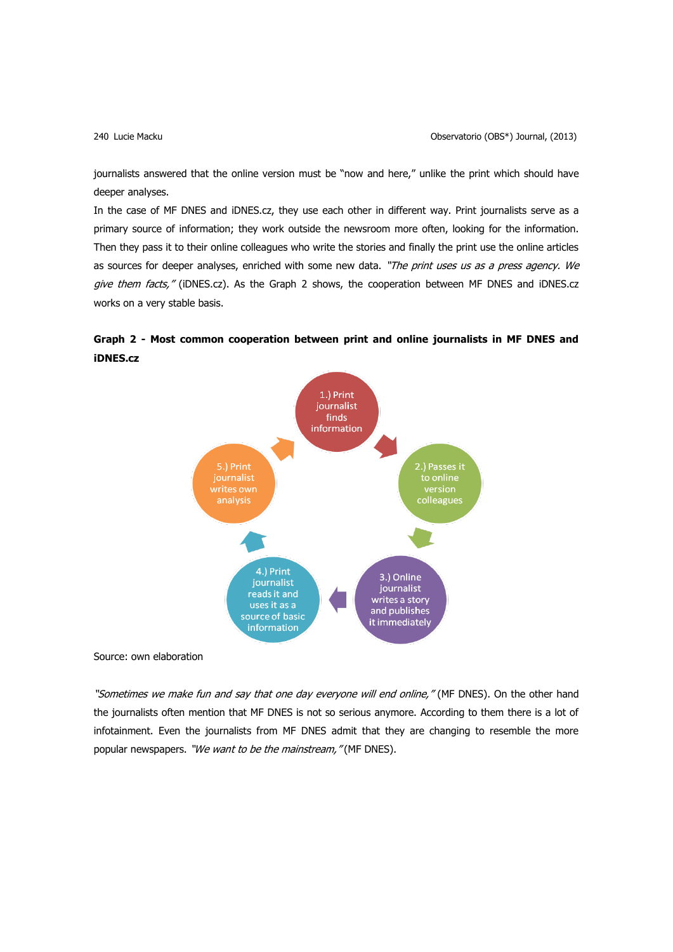journalists answered that the online version must be "now and here," unlike the print which should have deeper analyses.

In the case of MF DNES and iDNES.cz, they use each other in different way. Print journalists serve as a primary source of information; they work outside the newsroom more often, looking for the information. Then they pass it to their online colleagues who write the stories and finally the print use the online articles as sources for deeper analyses, enriched with some new data. "The print uses us as a press agency. We give them facts," (iDNES.cz). As the Graph 2 shows, the cooperation between MF DNES and iDNES.cz works on a very stable basis.

# **Graph 2 - Most common cooperation between print and online journalists in MF DNES and iDNES.cz**



Source: own elaboration

"Sometimes we make fun and say that one day everyone will end online," (MF DNES). On the other hand the journalists often mention that MF DNES is not so serious anymore. According to them there is a lot of infotainment. Even the journalists from MF DNES admit that they are changing to resemble the more popular newspapers. "We want to be the mainstream," (MF DNES).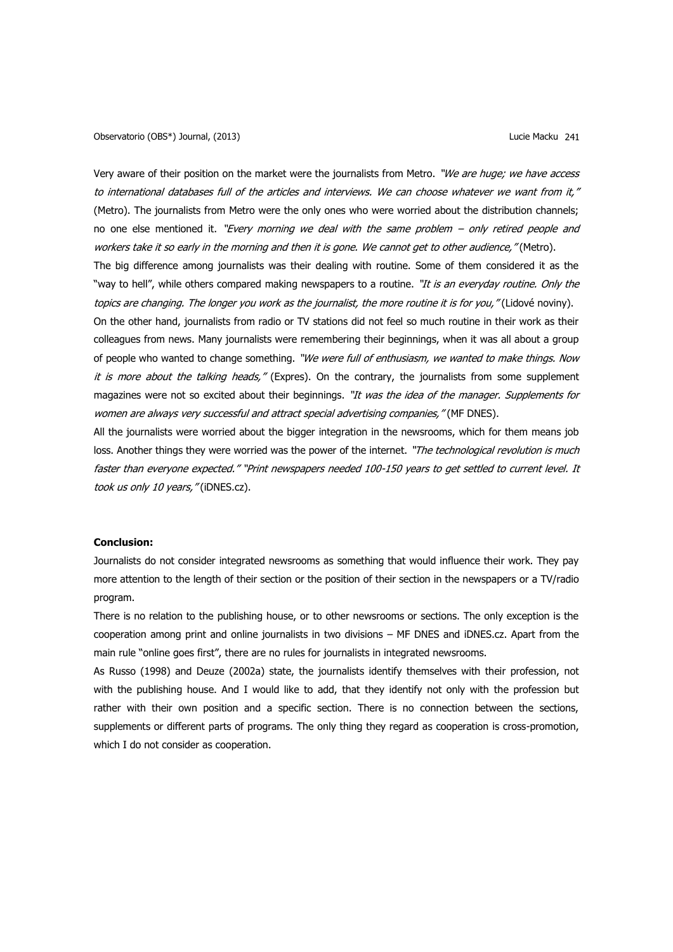Very aware of their position on the market were the journalists from Metro. "We are huge; we have access to international databases full of the articles and interviews. We can choose whatever we want from it," (Metro). The journalists from Metro were the only ones who were worried about the distribution channels; no one else mentioned it. "Every morning we deal with the same problem – only retired people and workers take it so early in the morning and then it is gone. We cannot get to other audience, "(Metro). The big difference among journalists was their dealing with routine. Some of them considered it as the "way to hell", while others compared making newspapers to a routine. "It is an everyday routine. Only the topics are changing. The longer you work as the journalist, the more routine it is for you," (Lidové noviny). On the other hand, journalists from radio or TV stations did not feel so much routine in their work as their colleagues from news. Many journalists were remembering their beginnings, when it was all about a group of people who wanted to change something. "We were full of enthusiasm, we wanted to make things. Now it is more about the talking heads," (Expres). On the contrary, the journalists from some supplement magazines were not so excited about their beginnings. "It was the idea of the manager. Supplements for women are always very successful and attract special advertising companies," (MF DNES).

All the journalists were worried about the bigger integration in the newsrooms, which for them means job loss. Another things they were worried was the power of the internet. "The technological revolution is much faster than everyone expected." "Print newspapers needed 100-150 years to get settled to current level. It took us only 10 years," (iDNES.cz).

# **Conclusion:**

Journalists do not consider integrated newsrooms as something that would influence their work. They pay more attention to the length of their section or the position of their section in the newspapers or a TV/radio program.

There is no relation to the publishing house, or to other newsrooms or sections. The only exception is the cooperation among print and online journalists in two divisions – MF DNES and iDNES.cz. Apart from the main rule "online goes first", there are no rules for journalists in integrated newsrooms.

As Russo (1998) and Deuze (2002a) state, the journalists identify themselves with their profession, not with the publishing house. And I would like to add, that they identify not only with the profession but rather with their own position and a specific section. There is no connection between the sections, supplements or different parts of programs. The only thing they regard as cooperation is cross-promotion, which I do not consider as cooperation.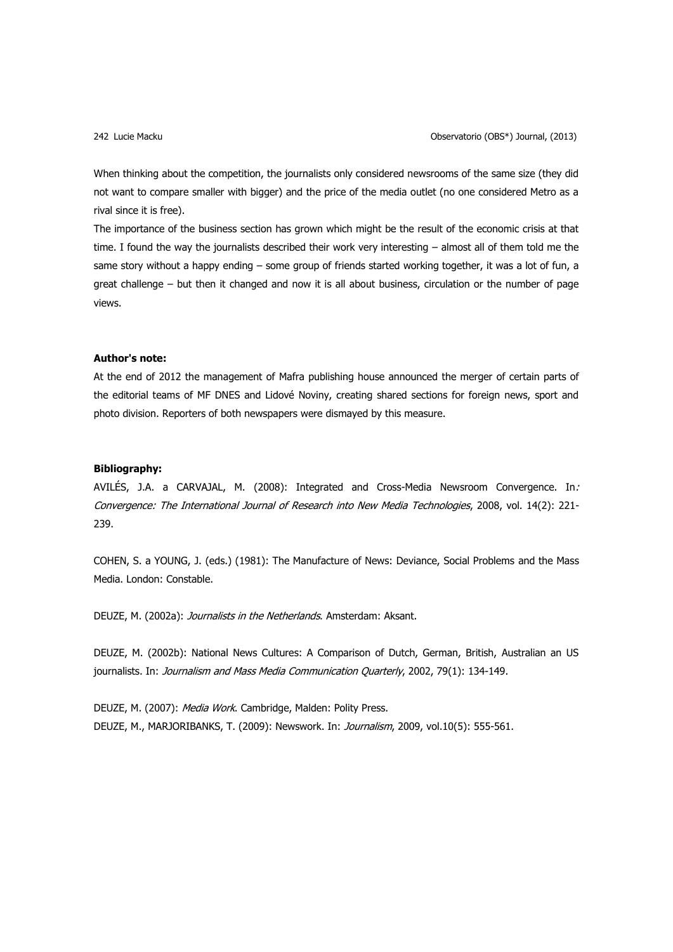When thinking about the competition, the journalists only considered newsrooms of the same size (they did not want to compare smaller with bigger) and the price of the media outlet (no one considered Metro as a rival since it is free).

The importance of the business section has grown which might be the result of the economic crisis at that time. I found the way the journalists described their work very interesting – almost all of them told me the same story without a happy ending – some group of friends started working together, it was a lot of fun, a great challenge – but then it changed and now it is all about business, circulation or the number of page views.

### **Author's note:**

At the end of 2012 the management of Mafra publishing house announced the merger of certain parts of the editorial teams of MF DNES and Lidové Noviny, creating shared sections for foreign news, sport and photo division. Reporters of both newspapers were dismayed by this measure.

# **Bibliography:**

AVILÉS, J.A. a CARVAJAL, M. (2008): Integrated and Cross-Media Newsroom Convergence. In: Convergence: The International Journal of Research into New Media Technologies, 2008, vol. 14(2): 221- 239.

COHEN, S. a YOUNG, J. (eds.) (1981): The Manufacture of News: Deviance, Social Problems and the Mass Media. London: Constable.

DEUZE, M. (2002a): Journalists in the Netherlands. Amsterdam: Aksant.

DEUZE, M. (2002b): National News Cultures: A Comparison of Dutch, German, British, Australian an US journalists. In: Journalism and Mass Media Communication Quarterly, 2002, 79(1): 134-149.

DEUZE, M. (2007): Media Work. Cambridge, Malden: Polity Press. DEUZE, M., MARJORIBANKS, T. (2009): Newswork. In: Journalism, 2009, vol.10(5): 555-561.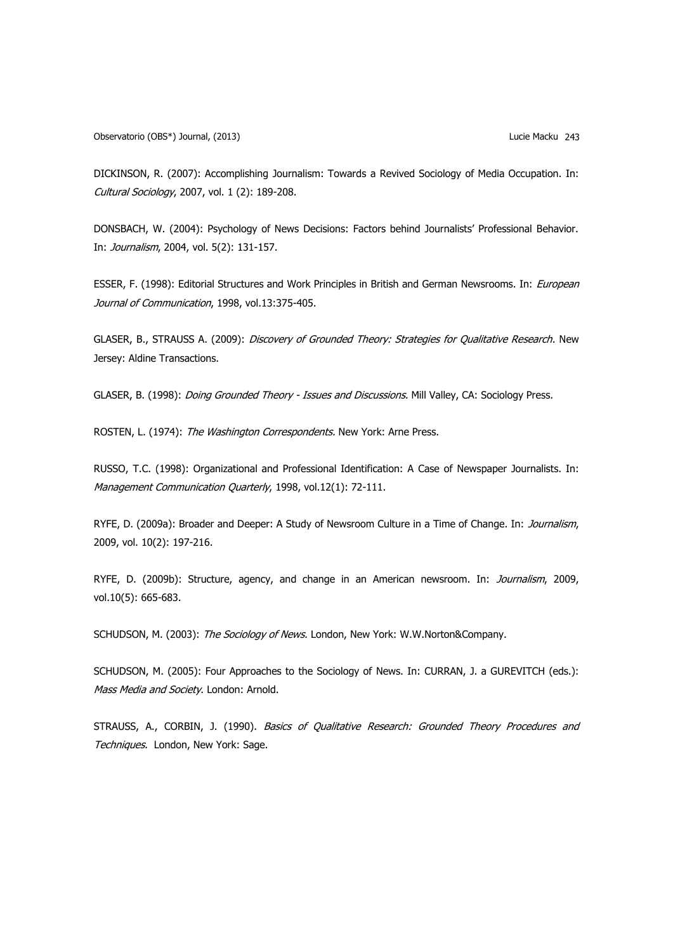Observatorio (OBS\*) Journal, (2013) Lucie Macku 243

DICKINSON, R. (2007): Accomplishing Journalism: Towards a Revived Sociology of Media Occupation. In: Cultural Sociology, 2007, vol. 1 (2): 189-208.

DONSBACH, W. (2004): Psychology of News Decisions: Factors behind Journalists' Professional Behavior. In: Journalism, 2004, vol. 5(2): 131-157.

ESSER, F. (1998): Editorial Structures and Work Principles in British and German Newsrooms. In: European Journal of Communication, 1998, vol.13:375-405.

GLASER, B., STRAUSS A. (2009): Discovery of Grounded Theory: Strategies for Qualitative Research. New Jersey: Aldine Transactions.

GLASER, B. (1998): *Doing Grounded Theory - Issues and Discussions.* Mill Valley, CA: Sociology Press.

ROSTEN, L. (1974): The Washington Correspondents. New York: Arne Press.

RUSSO, T.C. (1998): Organizational and Professional Identification: A Case of Newspaper Journalists. In: Management Communication Quarterly, 1998, vol.12(1): 72-111.

RYFE, D. (2009a): Broader and Deeper: A Study of Newsroom Culture in a Time of Change. In: *Journalism*, 2009, vol. 10(2): 197-216.

RYFE, D. (2009b): Structure, agency, and change in an American newsroom. In: *Journalism*, 2009, vol.10(5): 665-683.

SCHUDSON, M. (2003): The Sociology of News. London, New York: W.W.Norton&Company.

SCHUDSON, M. (2005): Four Approaches to the Sociology of News. In: CURRAN, J. a GUREVITCH (eds.): Mass Media and Society. London: Arnold.

STRAUSS, A., CORBIN, J. (1990). Basics of Qualitative Research: Grounded Theory Procedures and Techniques. London, New York: Sage.